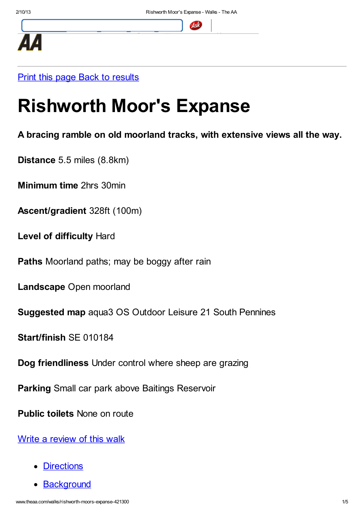**Ask** 



#### **Print this page Back to results**

# Rishworth Moor's Expanse

A bracing ramble on old moorland tracks, with extensive views all the way.

Distance 5.5 miles (8.8km)

Minimum time 2hrs 30min

Ascent/gradient 328ft (100m)

Level of difficulty Hard

Paths Moorland paths; may be boggy after rain

Landscape Open moorland

Suggested map aqua3 OS Outdoor Leisure 21 South Pennines

Start/finish SE 010184

Dog friendliness Under control where sheep are grazing

Parking Small car park above Baitings Reservoir

Public toilets None on route

Write a review of this walk

- **Directions**
- Background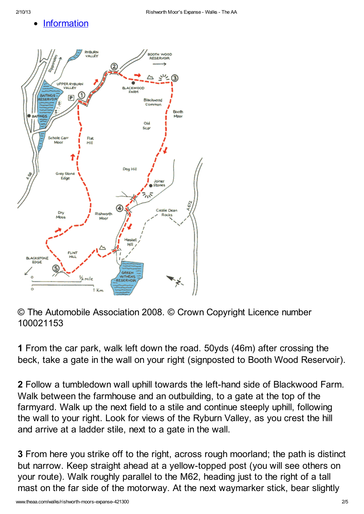**[Information](http://www.theaa.com/walks/rishworth-moors-expanse-421300#information)** 



© The Automobile Association 2008. © Crown Copyright Licence number 100021153

1 From the car park, walk left down the road. 50yds (46m) after crossing the beck, take a gate in the wall on your right (signposted to Booth Wood Reservoir).

2 Follow a tumbledown wall uphill towards the left-hand side of Blackwood Farm. Walk between the farmhouse and an outbuilding, to a gate at the top of the farmyard. Walk up the next field to a stile and continue steeply uphill, following the wall to your right. Look for views of the Ryburn Valley, as you crest the hill and arrive at a ladder stile, next to a gate in the wall.

3 From here you strike off to the right, across rough moorland; the path is distinct but narrow. Keep straight ahead at a yellow-topped post (you will see others on your route). Walk roughly parallel to the M62, heading just to the right of a tall mast on the far side of the motorway. At the next waymarker stick, bear slightly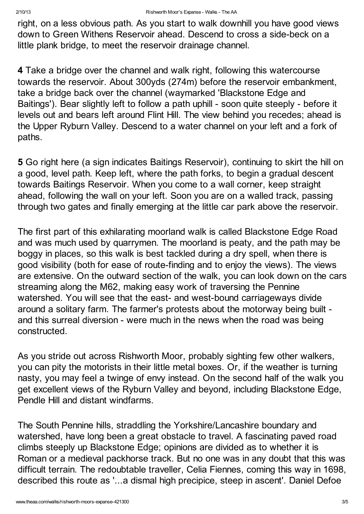right, on a less obvious path. As you start to walk downhill you have good views down to Green Withens Reservoir ahead. Descend to cross a side-beck on a little plank bridge, to meet the reservoir drainage channel.

4 Take a bridge over the channel and walk right, following this watercourse towards the reservoir. About 300yds (274m) before the reservoir embankment, take a bridge back over the channel (waymarked 'Blackstone Edge and Baitings'). Bear slightly left to follow a path uphill - soon quite steeply - before it levels out and bears left around Flint Hill. The view behind you recedes; ahead is the Upper Ryburn Valley. Descend to a water channel on your left and a fork of paths.

5 Go right here (a sign indicates Baitings Reservoir), continuing to skirt the hill on a good, level path. Keep left, where the path forks, to begin a gradual descent towards Baitings Reservoir. When you come to a wall corner, keep straight ahead, following the wall on your left. Soon you are on a walled track, passing through two gates and finally emerging at the little car park above the reservoir.

The first part of this exhilarating moorland walk is called Blackstone Edge Road and was much used by quarrymen. The moorland is peaty, and the path may be boggy in places, so this walk is best tackled during a dry spell, when there is good visibility (both for ease of route-finding and to enjoy the views). The views are extensive. On the outward section of the walk, you can look down on the cars streaming along the M62, making easy work of traversing the Pennine watershed. You will see that the east- and west-bound carriageways divide around a solitary farm. The farmer's protests about the motorway being built and this surreal diversion - were much in the news when the road was being constructed.

As you stride out across Rishworth Moor, probably sighting few other walkers, you can pity the motorists in their little metal boxes. Or, if the weather is turning nasty, you may feel a twinge of envy instead. On the second half of the walk you get excellent views of the Ryburn Valley and beyond, including Blackstone Edge, Pendle Hill and distant windfarms.

The South Pennine hills, straddling the Yorkshire/Lancashire boundary and watershed, have long been a great obstacle to travel. A fascinating paved road climbs steeply up Blackstone Edge; opinions are divided as to whether it is Roman or a medieval packhorse track. But no one was in any doubt that this was difficult terrain. The redoubtable traveller, Celia Fiennes, coming this way in 1698, described this route as '...a dismal high precipice, steep in ascent'. Daniel Defoe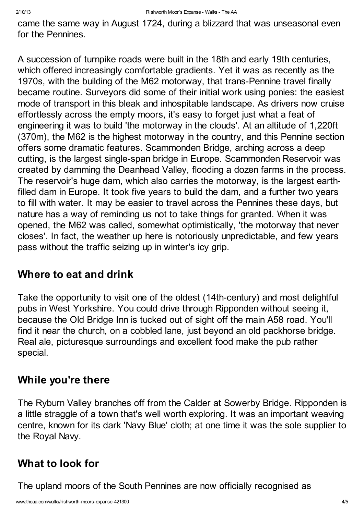came the same way in August 1724, during a blizzard that was unseasonal even for the Pennines.

A succession of turnpike roads were built in the 18th and early 19th centuries, which offered increasingly comfortable gradients. Yet it was as recently as the 1970s, with the building of the M62 motorway, that trans-Pennine travel finally became routine. Surveyors did some of their initial work using ponies: the easiest mode of transport in this bleak and inhospitable landscape. As drivers now cruise effortlessly across the empty moors, it's easy to forget just what a feat of engineering it was to build 'the motorway in the clouds'. At an altitude of 1,220ft (370m), the M62 is the highest motorway in the country, and this Pennine section offers some dramatic features. Scammonden Bridge, arching across a deep cutting, is the largest single-span bridge in Europe. Scammonden Reservoir was created by damming the Deanhead Valley, flooding a dozen farms in the process. The reservoir's huge dam, which also carries the motorway, is the largest earthfilled dam in Europe. It took five years to build the dam, and a further two years to fill with water. It may be easier to travel across the Pennines these days, but nature has a way of reminding us not to take things for granted. When it was opened, the M62 was called, somewhat optimistically, 'the motorway that never closes'. In fact, the weather up here is notoriously unpredictable, and few years pass without the traffic seizing up in winter's icy grip.

#### Where to eat and drink

Take the opportunity to visit one of the oldest (14th-century) and most delightful pubs in West Yorkshire. You could drive through Ripponden without seeing it, because the Old Bridge Inn is tucked out of sight off the main A58 road. You'll find it near the church, on a cobbled lane, just beyond an old packhorse bridge. Real ale, picturesque surroundings and excellent food make the pub rather special.

#### While you're there

The Ryburn Valley branches off from the Calder at Sowerby Bridge. Ripponden is a little straggle of a town that's well worth exploring. It was an important weaving centre, known for its dark 'Navy Blue' cloth; at one time it was the sole supplier to the Royal Navy.

#### What to look for

The upland moors of the South Pennines are now officially recognised as